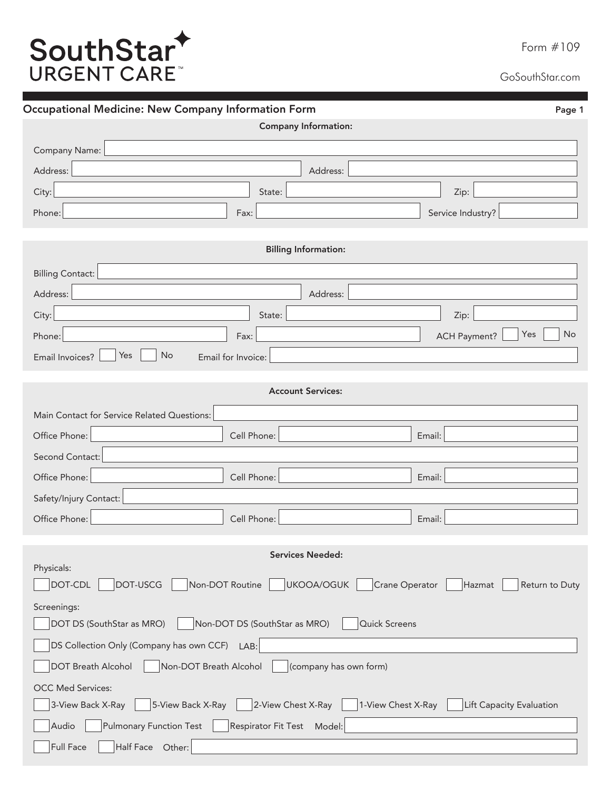

## Form #109

 $\overline{\phantom{a}}$ GoSouthStar.com

| <b>Occupational Medicine: New Company Information Form</b>                                                     | Page 1 |
|----------------------------------------------------------------------------------------------------------------|--------|
| <b>Company Information:</b>                                                                                    |        |
| Company Name:                                                                                                  |        |
| Address:<br>Address:                                                                                           |        |
| City:<br>State:<br>Zip:                                                                                        |        |
| Service Industry?<br>Phone:<br>Fax:                                                                            |        |
|                                                                                                                |        |
| <b>Billing Information:</b>                                                                                    |        |
| <b>Billing Contact:</b>                                                                                        |        |
| Address:<br>Address:                                                                                           |        |
| State:<br>City:<br>Zip:                                                                                        |        |
| Yes<br>Phone:<br><b>ACH Payment?</b><br>Fax:                                                                   | No     |
| Yes<br>No<br>Email Invoices?<br>Email for Invoice:                                                             |        |
|                                                                                                                |        |
| <b>Account Services:</b>                                                                                       |        |
| Main Contact for Service Related Questions:                                                                    |        |
| Office Phone:<br>Cell Phone:<br>Email:                                                                         |        |
| Second Contact:                                                                                                |        |
| Office Phone:<br>Cell Phone:<br>Email:                                                                         |        |
| Safety/Injury Contact:                                                                                         |        |
| Office Phone:<br>Cell Phone:<br>Email:                                                                         |        |
|                                                                                                                |        |
| <b>Services Needed:</b><br>Physicals:                                                                          |        |
| DOT-CDL<br>DOT-USCG<br>UKOOA/OGUK<br>Non-DOT Routine<br>Crane Operator<br>Hazmat<br>Return to Duty             |        |
| Screenings:                                                                                                    |        |
| DOT DS (SouthStar as MRO)<br>Quick Screens<br>Non-DOT DS (SouthStar as MRO)                                    |        |
| DS Collection Only (Company has own CCF)<br>LAB:                                                               |        |
| DOT Breath Alcohol<br>(company has own form)<br>Non-DOT Breath Alcohol                                         |        |
| OCC Med Services:                                                                                              |        |
| 5-View Back X-Ray<br>2-View Chest X-Ray<br>1-View Chest X-Ray<br>3-View Back X-Ray<br>Lift Capacity Evaluation |        |
| Audio<br><b>Pulmonary Function Test</b><br>Respirator Fit Test<br>Model:                                       |        |
| Full Face<br>Half Face Other:                                                                                  |        |